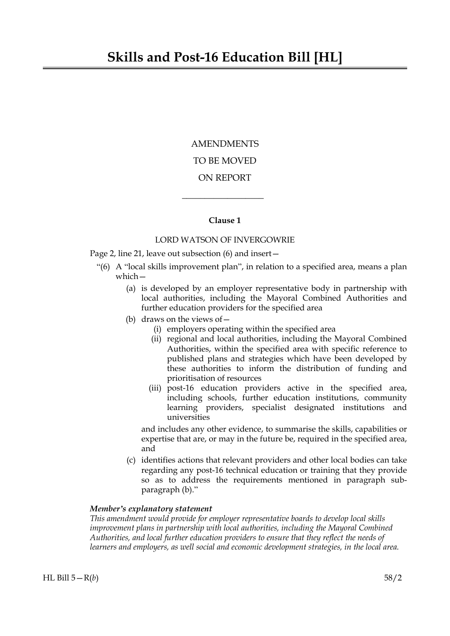# AMENDMENTS TO BE MOVED ON REPORT

## **Clause 1**

 $\overline{\phantom{a}}$  , where  $\overline{\phantom{a}}$ 

## LORD WATSON OF INVERGOWRIE

Page 2, line 21, leave out subsection (6) and insert—

- "(6) A "local skills improvement plan", in relation to a specified area, means a plan which—
	- (a) is developed by an employer representative body in partnership with local authorities, including the Mayoral Combined Authorities and further education providers for the specified area
	- (b) draws on the views of  $-$ 
		- (i) employers operating within the specified area
		- (ii) regional and local authorities, including the Mayoral Combined Authorities, within the specified area with specific reference to published plans and strategies which have been developed by these authorities to inform the distribution of funding and prioritisation of resources
		- (iii) post-16 education providers active in the specified area, including schools, further education institutions, community learning providers, specialist designated institutions and universities

and includes any other evidence, to summarise the skills, capabilities or expertise that are, or may in the future be, required in the specified area, and

(c) identifies actions that relevant providers and other local bodies can take regarding any post-16 technical education or training that they provide so as to address the requirements mentioned in paragraph subparagraph (b)."

## *Member's explanatory statement*

*This amendment would provide for employer representative boards to develop local skills improvement plans in partnership with local authorities, including the Mayoral Combined Authorities, and local further education providers to ensure that they reflect the needs of learners and employers, as well social and economic development strategies, in the local area.*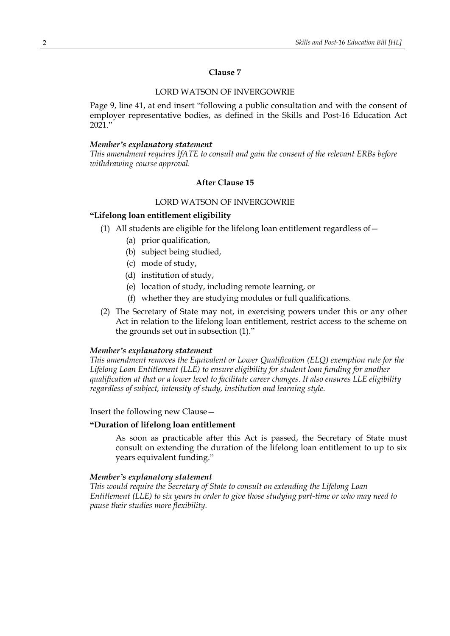## **Clause 7**

## LORD WATSON OF INVERGOWRIE

Page 9, line 41, at end insert "following a public consultation and with the consent of employer representative bodies, as defined in the Skills and Post-16 Education Act  $2021$ ."

## *Member's explanatory statement*

*This amendment requires IfATE to consult and gain the consent of the relevant ERBs before withdrawing course approval.*

## **After Clause 15**

## LORD WATSON OF INVERGOWRIE

## **"Lifelong loan entitlement eligibility**

- (1) All students are eligible for the lifelong loan entitlement regardless of—
	- (a) prior qualification,
	- (b) subject being studied,
	- (c) mode of study,
	- (d) institution of study,
	- (e) location of study, including remote learning, or
	- (f) whether they are studying modules or full qualifications.
- (2) The Secretary of State may not, in exercising powers under this or any other Act in relation to the lifelong loan entitlement, restrict access to the scheme on the grounds set out in subsection (1)."

## *Member's explanatory statement*

*This amendment removes the Equivalent or Lower Qualification (ELQ) exemption rule for the Lifelong Loan Entitlement (LLE) to ensure eligibility for student loan funding for another qualification at that or a lower level to facilitate career changes. It also ensures LLE eligibility regardless of subject, intensity of study, institution and learning style.*

Insert the following new Clause—

## **"Duration of lifelong loan entitlement**

As soon as practicable after this Act is passed, the Secretary of State must consult on extending the duration of the lifelong loan entitlement to up to six years equivalent funding."

#### *Member's explanatory statement*

*This would require the Secretary of State to consult on extending the Lifelong Loan Entitlement (LLE) to six years in order to give those studying part-time or who may need to pause their studies more flexibility.*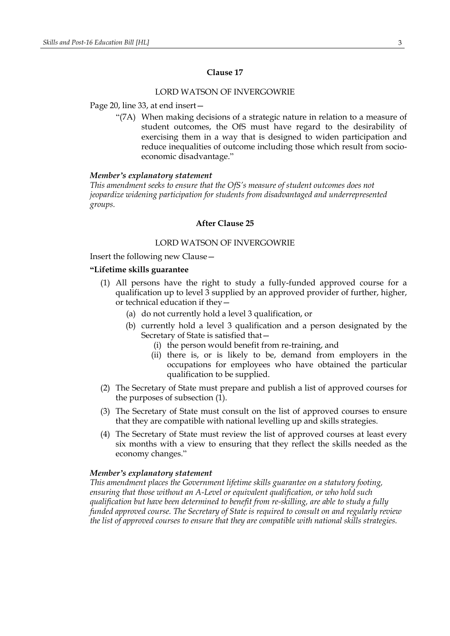#### **Clause 17**

#### LORD WATSON OF INVERGOWRIE

## Page 20, line 33, at end insert—

"(7A) When making decisions of a strategic nature in relation to a measure of student outcomes, the OfS must have regard to the desirability of exercising them in a way that is designed to widen participation and reduce inequalities of outcome including those which result from socioeconomic disadvantage."

#### *Member's explanatory statement*

*This amendment seeks to ensure that the OfS's measure of student outcomes does not jeopardize widening participation for students from disadvantaged and underrepresented groups.*

# **After Clause 25**

## LORD WATSON OF INVERGOWRIE

Insert the following new Clause—

#### **"Lifetime skills guarantee**

- (1) All persons have the right to study a fully-funded approved course for a qualification up to level 3 supplied by an approved provider of further, higher, or technical education if they—
	- (a) do not currently hold a level 3 qualification, or
	- (b) currently hold a level 3 qualification and a person designated by the Secretary of State is satisfied that—
		- (i) the person would benefit from re-training, and
		- (ii) there is, or is likely to be, demand from employers in the occupations for employees who have obtained the particular qualification to be supplied.
- (2) The Secretary of State must prepare and publish a list of approved courses for the purposes of subsection (1).
- (3) The Secretary of State must consult on the list of approved courses to ensure that they are compatible with national levelling up and skills strategies.
- (4) The Secretary of State must review the list of approved courses at least every six months with a view to ensuring that they reflect the skills needed as the economy changes."

#### *Member's explanatory statement*

*This amendment places the Government lifetime skills guarantee on a statutory footing, ensuring that those without an A-Level or equivalent qualification, or who hold such qualification but have been determined to benefit from re-skilling, are able to study a fully funded approved course. The Secretary of State is required to consult on and regularly review the list of approved courses to ensure that they are compatible with national skills strategies.*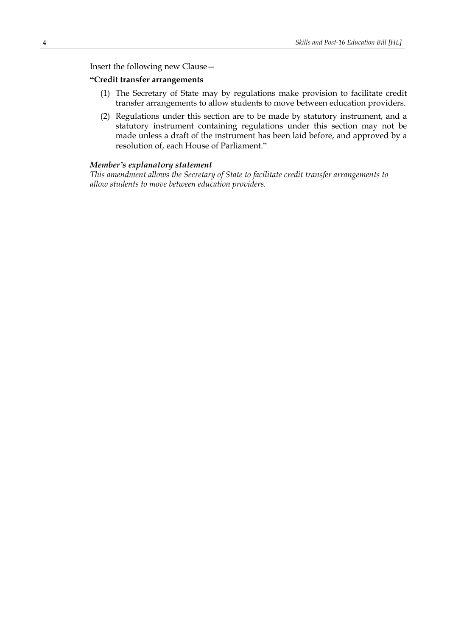Insert the following new Clause—

## **"Credit transfer arrangements**

- (1) The Secretary of State may by regulations make provision to facilitate credit transfer arrangements to allow students to move between education providers.
- (2) Regulations under this section are to be made by statutory instrument, and a statutory instrument containing regulations under this section may not be made unless a draft of the instrument has been laid before, and approved by a resolution of, each House of Parliament."

## *Member's explanatory statement*

*This amendment allows the Secretary of State to facilitate credit transfer arrangements to allow students to move between education providers.*